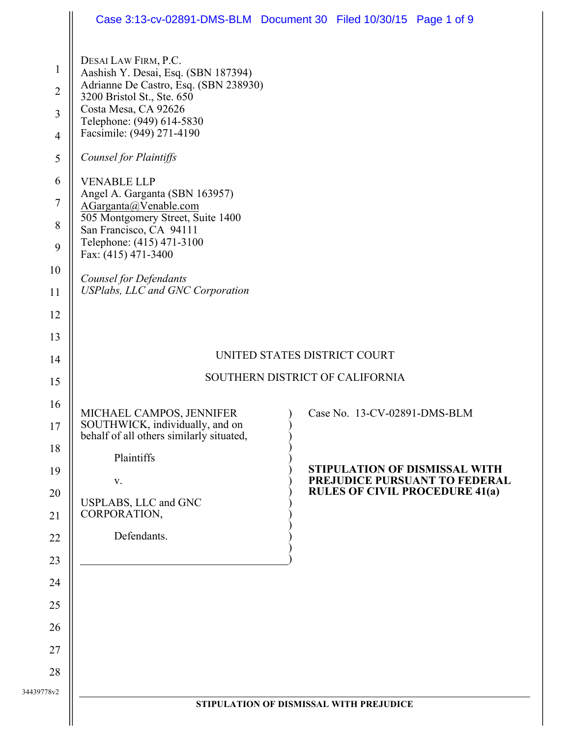|                                                                                                                        | Case 3:13-cv-02891-DMS-BLM Document 30 Filed 10/30/15 Page 1 of 9                                                                                                                                                                                                                                                                                                                                                                                                                           |  |                              |                                                                        |
|------------------------------------------------------------------------------------------------------------------------|---------------------------------------------------------------------------------------------------------------------------------------------------------------------------------------------------------------------------------------------------------------------------------------------------------------------------------------------------------------------------------------------------------------------------------------------------------------------------------------------|--|------------------------------|------------------------------------------------------------------------|
| $\mathbf{1}$<br>$\overline{2}$<br>$\overline{3}$<br>$\overline{4}$<br>$\mathfrak s$<br>6<br>$\sqrt{ }$<br>8<br>9<br>10 | DESAI LAW FIRM, P.C.<br>Aashish Y. Desai, Esq. (SBN 187394)<br>Adrianne De Castro, Esq. (SBN 238930)<br>3200 Bristol St., Ste. 650<br>Costa Mesa, CA 92626<br>Telephone: (949) 614-5830<br>Facsimile: (949) 271-4190<br><b>Counsel for Plaintiffs</b><br><b>VENABLE LLP</b><br>Angel A. Garganta (SBN 163957)<br>AGarganta@Venable.com<br>505 Montgomery Street, Suite 1400<br>San Francisco, CA 94111<br>Telephone: (415) 471-3100<br>Fax: (415) 471-3400<br><b>Counsel for Defendants</b> |  |                              |                                                                        |
| 11                                                                                                                     | <b>USPlabs, LLC and GNC Corporation</b>                                                                                                                                                                                                                                                                                                                                                                                                                                                     |  |                              |                                                                        |
| 12                                                                                                                     |                                                                                                                                                                                                                                                                                                                                                                                                                                                                                             |  |                              |                                                                        |
| 13                                                                                                                     |                                                                                                                                                                                                                                                                                                                                                                                                                                                                                             |  |                              |                                                                        |
| 14                                                                                                                     | UNITED STATES DISTRICT COURT                                                                                                                                                                                                                                                                                                                                                                                                                                                                |  |                              |                                                                        |
| 15                                                                                                                     | SOUTHERN DISTRICT OF CALIFORNIA                                                                                                                                                                                                                                                                                                                                                                                                                                                             |  |                              |                                                                        |
| 16                                                                                                                     | MICHAEL CAMPOS, JENNIFER                                                                                                                                                                                                                                                                                                                                                                                                                                                                    |  | Case No. 13-CV-02891-DMS-BLM |                                                                        |
| 17<br>18                                                                                                               | SOUTHWICK, individually, and on<br>behalf of all others similarly situated,                                                                                                                                                                                                                                                                                                                                                                                                                 |  |                              |                                                                        |
|                                                                                                                        | Plaintiffs                                                                                                                                                                                                                                                                                                                                                                                                                                                                                  |  |                              | STIPULATION OF DISMISSAL WITH                                          |
| 19                                                                                                                     | V.                                                                                                                                                                                                                                                                                                                                                                                                                                                                                          |  |                              | PREJUDICE PURSUANT TO FEDERAL<br><b>RULES OF CIVIL PROCEDURE 41(a)</b> |
| 20<br>21                                                                                                               | USPLABS, LLC and GNC<br>CORPORATION,                                                                                                                                                                                                                                                                                                                                                                                                                                                        |  |                              |                                                                        |
| 22                                                                                                                     | Defendants.                                                                                                                                                                                                                                                                                                                                                                                                                                                                                 |  |                              |                                                                        |
| 23                                                                                                                     |                                                                                                                                                                                                                                                                                                                                                                                                                                                                                             |  |                              |                                                                        |
| 24                                                                                                                     |                                                                                                                                                                                                                                                                                                                                                                                                                                                                                             |  |                              |                                                                        |
| 25                                                                                                                     |                                                                                                                                                                                                                                                                                                                                                                                                                                                                                             |  |                              |                                                                        |
| 26                                                                                                                     |                                                                                                                                                                                                                                                                                                                                                                                                                                                                                             |  |                              |                                                                        |
| 27                                                                                                                     |                                                                                                                                                                                                                                                                                                                                                                                                                                                                                             |  |                              |                                                                        |
| 28                                                                                                                     |                                                                                                                                                                                                                                                                                                                                                                                                                                                                                             |  |                              |                                                                        |
| 34439778v2                                                                                                             |                                                                                                                                                                                                                                                                                                                                                                                                                                                                                             |  |                              |                                                                        |
|                                                                                                                        | STIPULATION OF DISMISSAL WITH PREJUDICE                                                                                                                                                                                                                                                                                                                                                                                                                                                     |  |                              |                                                                        |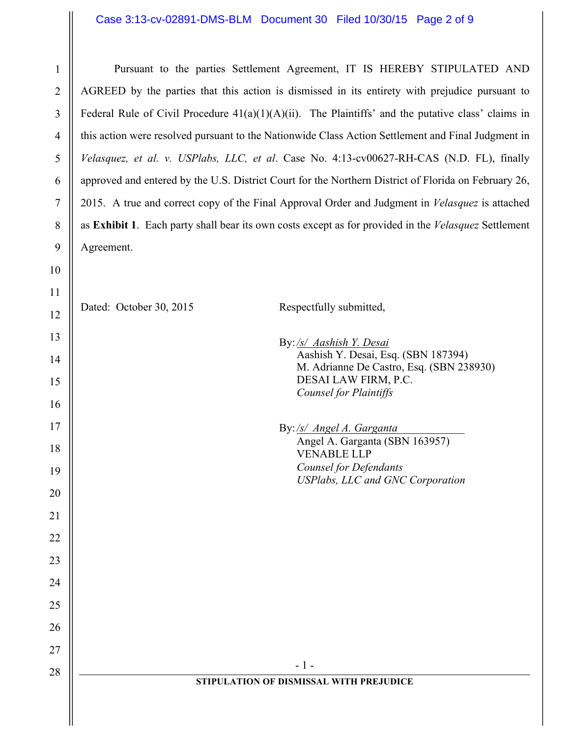## Case 3:13-cv-02891-DMS-BLM Document 30 Filed 10/30/15 Page 2 of 9

1

2

3

4

5

6

7

8

9

10

11

Pursuant to the parties Settlement Agreement, IT IS HEREBY STIPULATED AND AGREED by the parties that this action is dismissed in its entirety with prejudice pursuant to Federal Rule of Civil Procedure  $41(a)(1)(A)(ii)$ . The Plaintiffs' and the putative class' claims in this action were resolved pursuant to the Nationwide Class Action Settlement and Final Judgment in *Velasquez, et al. v. USPlabs, LLC, et al*. Case No. 4:13-cv00627-RH-CAS (N.D. FL), finally approved and entered by the U.S. District Court for the Northern District of Florida on February 26, 2015. A true and correct copy of the Final Approval Order and Judgment in *Velasquez* is attached as **Exhibit 1**. Each party shall bear its own costs except as for provided in the *Velasquez* Settlement Agreement.

12 13 14 15 16 17 18 19 20 21 22 23 24 25 26 27 28  $\parallel$  - 1 -**STIPULATION OF DISMISSAL WITH PREJUDICE** Dated: October 30, 2015 Respectfully submitted, By:*/s/ Aashish Y. Desai*  Aashish Y. Desai, Esq. (SBN 187394) M. Adrianne De Castro, Esq. (SBN 238930) DESAI LAW FIRM, P.C. *Counsel for Plaintiffs* By:*/s/ Angel A. Garganta*\_\_\_\_\_\_\_\_\_\_\_\_ Angel A. Garganta (SBN 163957) VENABLE LLP *Counsel for Defendants USPlabs, LLC and GNC Corporation*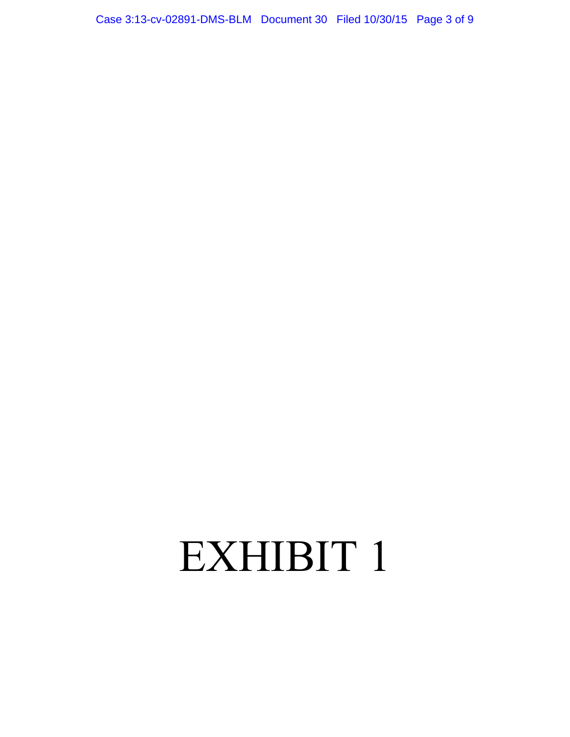Case 3:13-cv-02891-DMS-BLM Document 30 Filed 10/30/15 Page 3 of 9

## EXHIBIT 1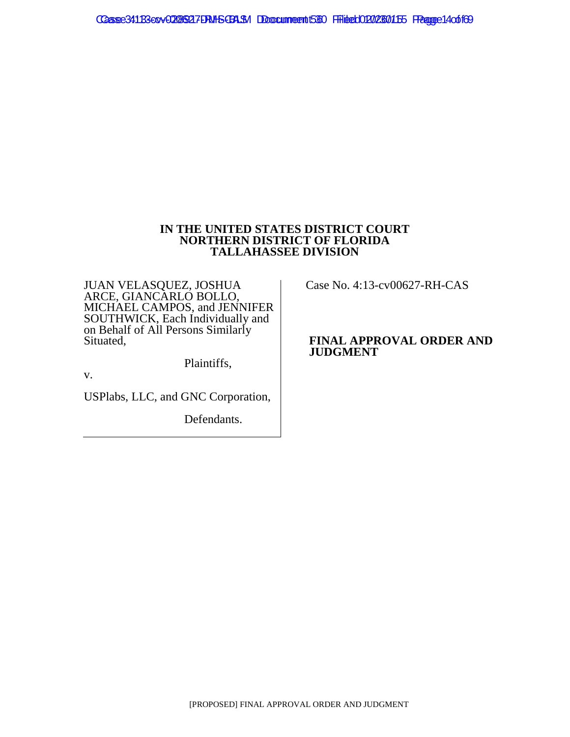## **IN THE UNITED STATES DISTRICT COURT NORTHERN DISTRICT OF FLORIDA TALLAHASSEE DIVISION**

JUAN VELASQUEZ, JOSHUA ARCE, GIANCARLO BOLLO, MICHAEL CAMPOS, and JENNIFER SOUTHWICK, Each Individually and on Behalf of All Persons Similarly Situated,

Plaintiffs,

v.

USPlabs, LLC, and GNC Corporation,

Defendants.

Case No. 4:13-cv00627-RH-CAS

## **FINAL APPROVAL ORDER AND JUDGMENT**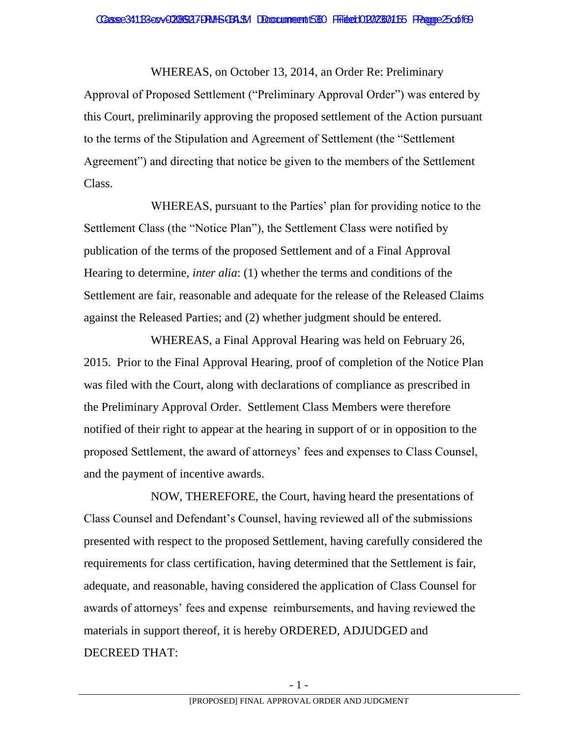WHEREAS, on October 13, 2014, an Order Re: Preliminary Approval of Proposed Settlement ("Preliminary Approval Order") was entered by this Court, preliminarily approving the proposed settlement of the Action pursuant to the terms of the Stipulation and Agreement of Settlement (the "Settlement Agreement") and directing that notice be given to the members of the Settlement Class.

WHEREAS, pursuant to the Parties' plan for providing notice to the Settlement Class (the "Notice Plan"), the Settlement Class were notified by publication of the terms of the proposed Settlement and of a Final Approval Hearing to determine, *inter alia*: (1) whether the terms and conditions of the Settlement are fair, reasonable and adequate for the release of the Released Claims against the Released Parties; and (2) whether judgment should be entered.

WHEREAS, a Final Approval Hearing was held on February 26, 2015. Prior to the Final Approval Hearing, proof of completion of the Notice Plan was filed with the Court, along with declarations of compliance as prescribed in the Preliminary Approval Order. Settlement Class Members were therefore notified of their right to appear at the hearing in support of or in opposition to the proposed Settlement, the award of attorneys' fees and expenses to Class Counsel, and the payment of incentive awards.

NOW, THEREFORE, the Court, having heard the presentations of Class Counsel and Defendant's Counsel, having reviewed all of the submissions presented with respect to the proposed Settlement, having carefully considered the requirements for class certification, having determined that the Settlement is fair, adequate, and reasonable, having considered the application of Class Counsel for awards of attorneys' fees and expense reimbursements, and having reviewed the materials in support thereof, it is hereby ORDERED, ADJUDGED and DECREED THAT: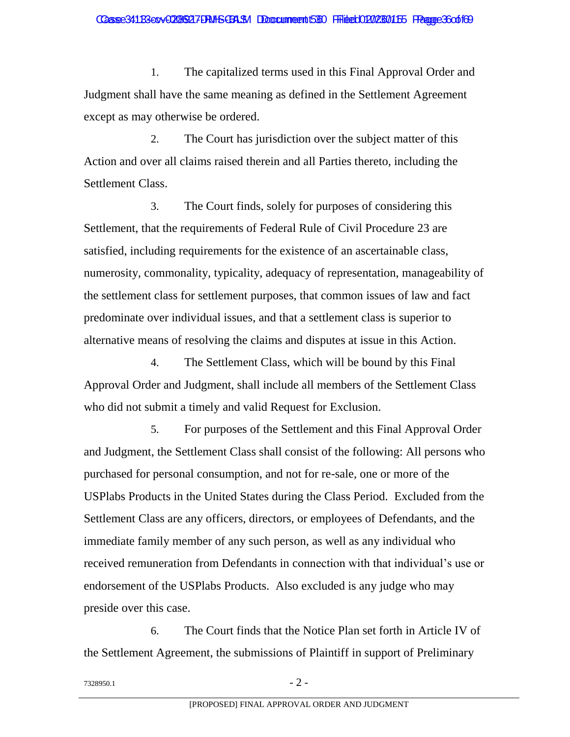1. The capitalized terms used in this Final Approval Order and Judgment shall have the same meaning as defined in the Settlement Agreement except as may otherwise be ordered.

2. The Court has jurisdiction over the subject matter of this Action and over all claims raised therein and all Parties thereto, including the Settlement Class.

3. The Court finds, solely for purposes of considering this Settlement, that the requirements of Federal Rule of Civil Procedure 23 are satisfied, including requirements for the existence of an ascertainable class, numerosity, commonality, typicality, adequacy of representation, manageability of the settlement class for settlement purposes, that common issues of law and fact predominate over individual issues, and that a settlement class is superior to alternative means of resolving the claims and disputes at issue in this Action.

4. The Settlement Class, which will be bound by this Final Approval Order and Judgment, shall include all members of the Settlement Class who did not submit a timely and valid Request for Exclusion.

5. For purposes of the Settlement and this Final Approval Order and Judgment, the Settlement Class shall consist of the following: All persons who purchased for personal consumption, and not for re-sale, one or more of the USPlabs Products in the United States during the Class Period. Excluded from the Settlement Class are any officers, directors, or employees of Defendants, and the immediate family member of any such person, as well as any individual who received remuneration from Defendants in connection with that individual's use or endorsement of the USPlabs Products. Also excluded is any judge who may preside over this case.

6. The Court finds that the Notice Plan set forth in Article IV of the Settlement Agreement, the submissions of Plaintiff in support of Preliminary

 $7328950.1$  - 2 -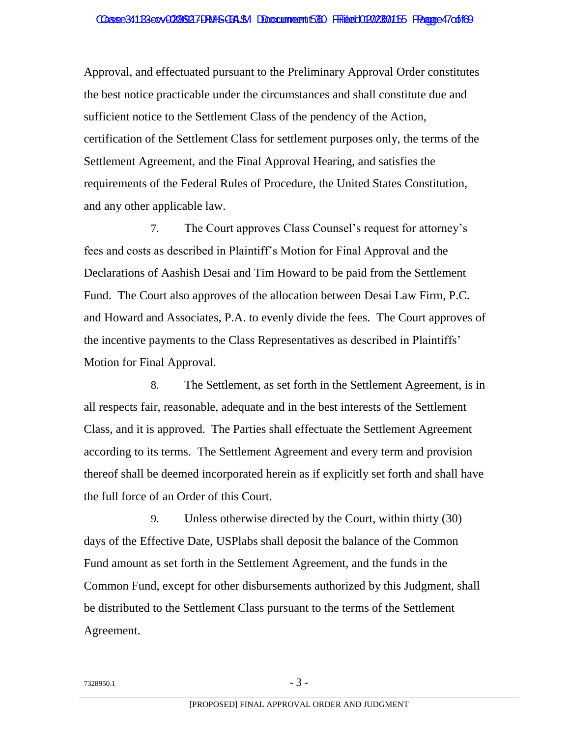Approval, and effectuated pursuant to the Preliminary Approval Order constitutes the best notice practicable under the circumstances and shall constitute due and sufficient notice to the Settlement Class of the pendency of the Action, certification of the Settlement Class for settlement purposes only, the terms of the Settlement Agreement, and the Final Approval Hearing, and satisfies the requirements of the Federal Rules of Procedure, the United States Constitution, and any other applicable law.

7. The Court approves Class Counsel's request for attorney's fees and costs as described in Plaintiff's Motion for Final Approval and the Declarations of Aashish Desai and Tim Howard to be paid from the Settlement Fund. The Court also approves of the allocation between Desai Law Firm, P.C. and Howard and Associates, P.A. to evenly divide the fees. The Court approves of the incentive payments to the Class Representatives as described in Plaintiffs' Motion for Final Approval.

8. The Settlement, as set forth in the Settlement Agreement, is in all respects fair, reasonable, adequate and in the best interests of the Settlement Class, and it is approved. The Parties shall effectuate the Settlement Agreement according to its terms. The Settlement Agreement and every term and provision thereof shall be deemed incorporated herein as if explicitly set forth and shall have the full force of an Order of this Court.

9. Unless otherwise directed by the Court, within thirty (30) days of the Effective Date, USPlabs shall deposit the balance of the Common Fund amount as set forth in the Settlement Agreement, and the funds in the Common Fund, except for other disbursements authorized by this Judgment, shall be distributed to the Settlement Class pursuant to the terms of the Settlement Agreement.

 $7328950.1$  - 3 -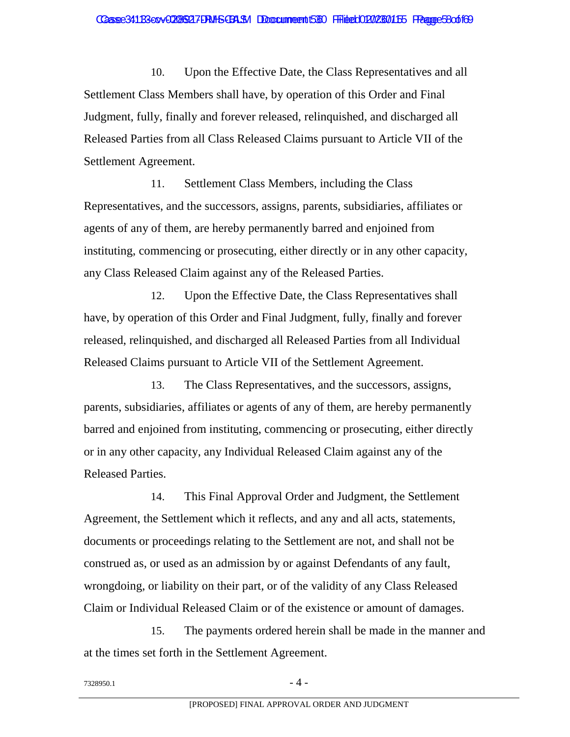10. Upon the Effective Date, the Class Representatives and all Settlement Class Members shall have, by operation of this Order and Final Judgment, fully, finally and forever released, relinquished, and discharged all Released Parties from all Class Released Claims pursuant to Article VII of the Settlement Agreement.

11. Settlement Class Members, including the Class Representatives, and the successors, assigns, parents, subsidiaries, affiliates or agents of any of them, are hereby permanently barred and enjoined from instituting, commencing or prosecuting, either directly or in any other capacity, any Class Released Claim against any of the Released Parties.

12. Upon the Effective Date, the Class Representatives shall have, by operation of this Order and Final Judgment, fully, finally and forever released, relinquished, and discharged all Released Parties from all Individual Released Claims pursuant to Article VII of the Settlement Agreement.

13. The Class Representatives, and the successors, assigns, parents, subsidiaries, affiliates or agents of any of them, are hereby permanently barred and enjoined from instituting, commencing or prosecuting, either directly or in any other capacity, any Individual Released Claim against any of the Released Parties.

14. This Final Approval Order and Judgment, the Settlement Agreement, the Settlement which it reflects, and any and all acts, statements, documents or proceedings relating to the Settlement are not, and shall not be construed as, or used as an admission by or against Defendants of any fault, wrongdoing, or liability on their part, or of the validity of any Class Released Claim or Individual Released Claim or of the existence or amount of damages.

15. The payments ordered herein shall be made in the manner and at the times set forth in the Settlement Agreement.

 $7328950.1$  - 4 -